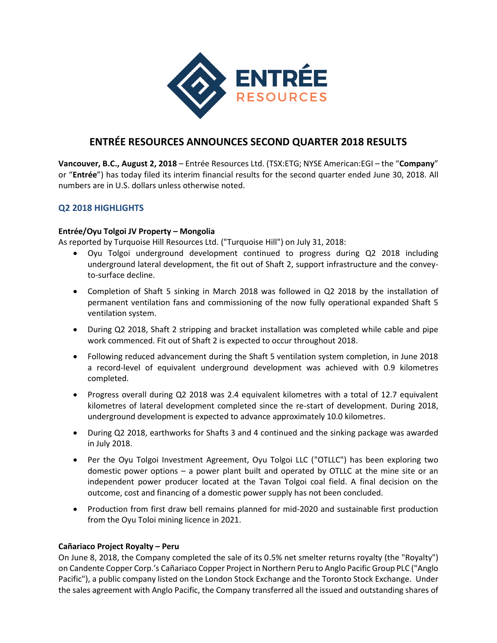

# **ENTRÉE RESOURCES ANNOUNCES SECOND QUARTER 2018 RESULTS**

**Vancouver, B.C., August 2, 2018** – Entrée Resources Ltd. (TSX:ETG; NYSE American:EGI – the "**Company**" or "**Entrée**") has today filed its interim financial results for the second quarter ended June 30, 2018. All numbers are in U.S. dollars unless otherwise noted.

### **Q2 2018 HIGHLIGHTS**

### **Entrée/Oyu Tolgoi JV Property – Mongolia**

As reported by Turquoise Hill Resources Ltd. ("Turquoise Hill") on July 31, 2018:

- Oyu Tolgoi underground development continued to progress during Q2 2018 including underground lateral development, the fit out of Shaft 2, support infrastructure and the conveyto-surface decline.
- Completion of Shaft 5 sinking in March 2018 was followed in Q2 2018 by the installation of permanent ventilation fans and commissioning of the now fully operational expanded Shaft 5 ventilation system.
- During Q2 2018, Shaft 2 stripping and bracket installation was completed while cable and pipe work commenced. Fit out of Shaft 2 is expected to occur throughout 2018.
- Following reduced advancement during the Shaft 5 ventilation system completion, in June 2018 a record-level of equivalent underground development was achieved with 0.9 kilometres completed.
- Progress overall during Q2 2018 was 2.4 equivalent kilometres with a total of 12.7 equivalent kilometres of lateral development completed since the re-start of development. During 2018, underground development is expected to advance approximately 10.0 kilometres.
- During Q2 2018, earthworks for Shafts 3 and 4 continued and the sinking package was awarded in July 2018.
- Per the Oyu Tolgoi Investment Agreement, Oyu Tolgoi LLC ("OTLLC") has been exploring two domestic power options – a power plant built and operated by OTLLC at the mine site or an independent power producer located at the Tavan Tolgoi coal field. A final decision on the outcome, cost and financing of a domestic power supply has not been concluded.
- Production from first draw bell remains planned for mid-2020 and sustainable first production from the Oyu Toloi mining licence in 2021.

### **Cañariaco Project Royalty – Peru**

On June 8, 2018, the Company completed the sale of its 0.5% net smelter returns royalty (the "Royalty") on Candente Copper Corp.'s Cañariaco Copper Project in Northern Peru to Anglo Pacific Group PLC ("Anglo Pacific"), a public company listed on the London Stock Exchange and the Toronto Stock Exchange. Under the sales agreement with Anglo Pacific, the Company transferred all the issued and outstanding shares of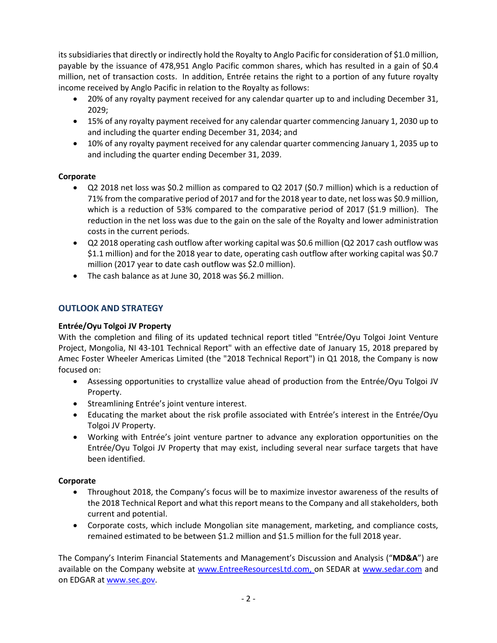its subsidiaries that directly or indirectly hold the Royalty to Anglo Pacific for consideration of \$1.0 million, payable by the issuance of 478,951 Anglo Pacific common shares, which has resulted in a gain of \$0.4 million, net of transaction costs. In addition, Entrée retains the right to a portion of any future royalty income received by Anglo Pacific in relation to the Royalty as follows:

- 20% of any royalty payment received for any calendar quarter up to and including December 31, 2029;
- 15% of any royalty payment received for any calendar quarter commencing January 1, 2030 up to and including the quarter ending December 31, 2034; and
- 10% of any royalty payment received for any calendar quarter commencing January 1, 2035 up to and including the quarter ending December 31, 2039.

### **Corporate**

- Q2 2018 net loss was \$0.2 million as compared to Q2 2017 (\$0.7 million) which is a reduction of 71% from the comparative period of 2017 and for the 2018 year to date, net loss was \$0.9 million, which is a reduction of 53% compared to the comparative period of 2017 (\$1.9 million). The reduction in the net loss was due to the gain on the sale of the Royalty and lower administration costs in the current periods.
- Q2 2018 operating cash outflow after working capital was \$0.6 million (Q2 2017 cash outflow was \$1.1 million) and for the 2018 year to date, operating cash outflow after working capital was \$0.7 million (2017 year to date cash outflow was \$2.0 million).
- The cash balance as at June 30, 2018 was \$6.2 million.

## **OUTLOOK AND STRATEGY**

### **Entrée/Oyu Tolgoi JV Property**

With the completion and filing of its updated technical report titled "Entrée/Oyu Tolgoi Joint Venture Project, Mongolia, NI 43-101 Technical Report" with an effective date of January 15, 2018 prepared by Amec Foster Wheeler Americas Limited (the "2018 Technical Report") in Q1 2018, the Company is now focused on:

- Assessing opportunities to crystallize value ahead of production from the Entrée/Oyu Tolgoi JV Property.
- Streamlining Entrée's joint venture interest.
- Educating the market about the risk profile associated with Entrée's interest in the Entrée/Oyu Tolgoi JV Property.
- Working with Entrée's joint venture partner to advance any exploration opportunities on the Entrée/Oyu Tolgoi JV Property that may exist, including several near surface targets that have been identified.

### **Corporate**

- Throughout 2018, the Company's focus will be to maximize investor awareness of the results of the 2018 Technical Report and what this report means to the Company and all stakeholders, both current and potential.
- Corporate costs, which include Mongolian site management, marketing, and compliance costs, remained estimated to be between \$1.2 million and \$1.5 million for the full 2018 year.

The Company's Interim Financial Statements and Management's Discussion and Analysis ("**MD&A**") are available on the Company website at [www.EntreeResourcesLtd.com,](http://www.entreeresourcesltd.com/) on SEDAR at [www.sedar.com](http://www.sedar.com/) and on EDGAR a[t www.sec.gov.](http://www.sec.gov/)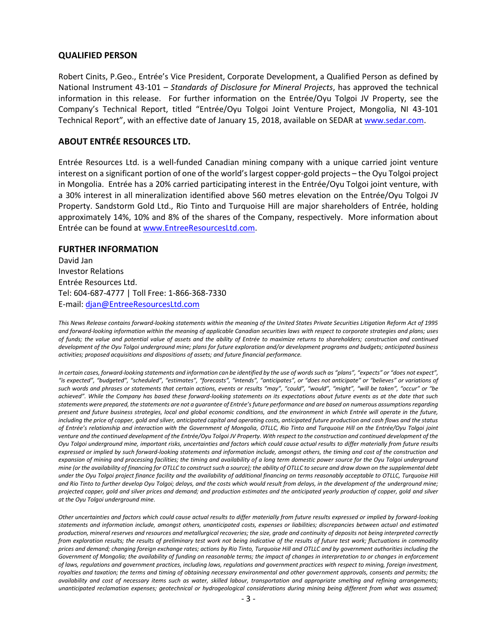#### **QUALIFIED PERSON**

Robert Cinits, P.Geo., Entrée's Vice President, Corporate Development, a Qualified Person as defined by National Instrument 43-101 – *Standards of Disclosure for Mineral Projects*, has approved the technical information in this release. For further information on the Entrée/Oyu Tolgoi JV Property, see the Company's Technical Report, titled "Entrée/Oyu Tolgoi Joint Venture Project, Mongolia, NI 43-101 Technical Report", with an effective date of January 15, 2018, available on SEDAR at [www.sedar.com.](http://www.sedar.com/)

#### **ABOUT ENTRÉE RESOURCES LTD.**

Entrée Resources Ltd. is a well-funded Canadian mining company with a unique carried joint venture interest on a significant portion of one of the world's largest copper-gold projects – the Oyu Tolgoi project in Mongolia. Entrée has a 20% carried participating interest in the Entrée/Oyu Tolgoi joint venture, with a 30% interest in all mineralization identified above 560 metres elevation on the Entrée/Oyu Tolgoi JV Property. Sandstorm Gold Ltd., Rio Tinto and Turquoise Hill are major shareholders of Entrée, holding approximately 14%, 10% and 8% of the shares of the Company, respectively. More information about Entrée can be found a[t www.EntreeResourcesLtd.com.](http://www.entreeresourcesltd.com/)

#### **FURTHER INFORMATION**

David Jan Investor Relations Entrée Resources Ltd. Tel: 604-687-4777 | Toll Free: 1-866-368-7330 E-mail: [djan@EntreeResourcesLtd.com](mailto:djan@EntreeResourcesLtd.com)

*This News Release contains forward-looking statements within the meaning of the United States Private Securities Litigation Reform Act of 1995 and forward-looking information within the meaning of applicable Canadian securities laws with respect to corporate strategies and plans; uses of funds; the value and potential value of assets and the ability of Entrée to maximize returns to shareholders; construction and continued development of the Oyu Tolgoi underground mine; plans for future exploration and/or development programs and budgets; anticipated business activities; proposed acquisitions and dispositions of assets; and future financial performance.*

In certain cases, forward-looking statements and information can be identified by the use of words such as "plans", "expects" or "does not expect", "is expected", "budgeted", "scheduled", "estimates", "forecasts", "intends", "anticipates", or "does not anticipate" or "believes" or variations of such words and phrases or statements that certain actions, events or results "may", "could", "would", "might", "will be taken", "occur" or "be *achieved". While the Company has based these forward-looking statements on its expectations about future events as at the date that such statements were prepared, the statements are not a guarantee of Entrée's future performance and are based on numerous assumptions regarding present and future business strategies, local and global economic conditions, and the environment in which Entrée will operate in the future, including the price of copper, gold and silver, anticipated capital and operating costs, anticipated future production and cash flows and the status of Entrée's relationship and interaction with the Government of Mongolia, OTLLC, Rio Tinto and Turquoise Hill on the Entrée/Oyu Tolgoi joint venture and the continued development of the Entrée/Oyu Tolgoi JV Property. With respect to the construction and continued development of the Oyu Tolgoi underground mine, important risks, uncertainties and factors which could cause actual results to differ materially from future results expressed or implied by such forward-looking statements and information include, amongst others, the timing and cost of the construction and expansion of mining and processing facilities; the timing and availability of a long term domestic power source for the Oyu Tolgoi underground mine (or the availability of financing for OTLLC to construct such a source); the ability of OTLLC to secure and draw down on the supplemental debt under the Oyu Tolgoi project finance facility and the availability of additional financing on terms reasonably acceptable to OTLLC, Turquoise Hill and Rio Tinto to further develop Oyu Tolgoi; delays, and the costs which would result from delays, in the development of the underground mine; projected copper, gold and silver prices and demand; and production estimates and the anticipated yearly production of copper, gold and silver at the Oyu Tolgoi underground mine.* 

*Other uncertainties and factors which could cause actual results to differ materially from future results expressed or implied by forward-looking statements and information include, amongst others, unanticipated costs, expenses or liabilities; discrepancies between actual and estimated production, mineral reserves and resources and metallurgical recoveries; the size, grade and continuity of deposits not being interpreted correctly from exploration results; the results of preliminary test work not being indicative of the results of future test work; fluctuations in commodity prices and demand; changing foreign exchange rates; actions by Rio Tinto, Turquoise Hill and OTLLC and by government authorities including the Government of Mongolia; the availability of funding on reasonable terms; the impact of changes in interpretation to or changes in enforcement of laws, regulations and government practices, including laws, regulations and government practices with respect to mining, foreign investment,*  royalties and taxation; the terms and timing of obtaining necessary environmental and other government approvals, consents and permits; the *availability and cost of necessary items such as water, skilled labour, transportation and appropriate smelting and refining arrangements; unanticipated reclamation expenses; geotechnical or hydrogeological considerations during mining being different from what was assumed;*